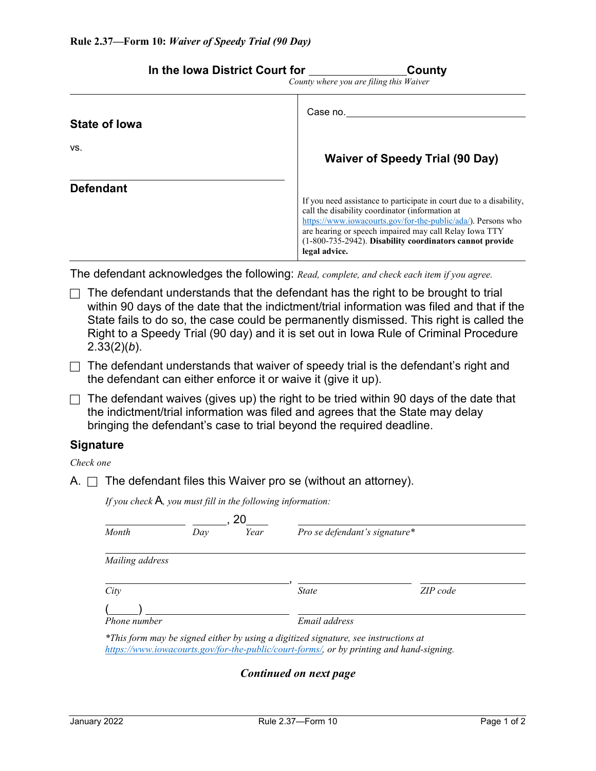| Case no.<br><b>Waiver of Speedy Trial (90 Day)</b><br>If you need assistance to participate in court due to a disability,<br>call the disability coordinator (information at<br>https://www.iowacourts.gov/for-the-public/ada/). Persons who<br>are hearing or speech impaired may call Relay Iowa TTY<br>(1-800-735-2942). Disability coordinators cannot provide<br>legal advice.<br>The defendant acknowledges the following: Read, complete, and check each item if you agree.<br>The defendant understands that the defendant has the right to be brought to trial<br>within 90 days of the date that the indictment/trial information was filed and that if the<br>State fails to do so, the case could be permanently dismissed. This right is called the<br>Right to a Speedy Trial (90 day) and it is set out in lowa Rule of Criminal Procedure<br>$2.33(2)(b)$ .<br>The defendant understands that waiver of speedy trial is the defendant's right and<br>the defendant can either enforce it or waive it (give it up).<br>The defendant waives (gives up) the right to be tried within 90 days of the date that<br>the indictment/trial information was filed and agrees that the State may delay<br>bringing the defendant's case to trial beyond the required deadline.<br>The defendant files this Waiver pro se (without an attorney).<br>If you check $A$ , you must fill in the following information: | In the lowa District Court for | County                                  |
|--------------------------------------------------------------------------------------------------------------------------------------------------------------------------------------------------------------------------------------------------------------------------------------------------------------------------------------------------------------------------------------------------------------------------------------------------------------------------------------------------------------------------------------------------------------------------------------------------------------------------------------------------------------------------------------------------------------------------------------------------------------------------------------------------------------------------------------------------------------------------------------------------------------------------------------------------------------------------------------------------------------------------------------------------------------------------------------------------------------------------------------------------------------------------------------------------------------------------------------------------------------------------------------------------------------------------------------------------------------------------------------------------------------------------|--------------------------------|-----------------------------------------|
|                                                                                                                                                                                                                                                                                                                                                                                                                                                                                                                                                                                                                                                                                                                                                                                                                                                                                                                                                                                                                                                                                                                                                                                                                                                                                                                                                                                                                          |                                | County where you are filing this Waiver |
|                                                                                                                                                                                                                                                                                                                                                                                                                                                                                                                                                                                                                                                                                                                                                                                                                                                                                                                                                                                                                                                                                                                                                                                                                                                                                                                                                                                                                          | <b>State of lowa</b>           |                                         |
|                                                                                                                                                                                                                                                                                                                                                                                                                                                                                                                                                                                                                                                                                                                                                                                                                                                                                                                                                                                                                                                                                                                                                                                                                                                                                                                                                                                                                          | VS.                            |                                         |
|                                                                                                                                                                                                                                                                                                                                                                                                                                                                                                                                                                                                                                                                                                                                                                                                                                                                                                                                                                                                                                                                                                                                                                                                                                                                                                                                                                                                                          | <b>Defendant</b>               |                                         |
|                                                                                                                                                                                                                                                                                                                                                                                                                                                                                                                                                                                                                                                                                                                                                                                                                                                                                                                                                                                                                                                                                                                                                                                                                                                                                                                                                                                                                          |                                |                                         |
|                                                                                                                                                                                                                                                                                                                                                                                                                                                                                                                                                                                                                                                                                                                                                                                                                                                                                                                                                                                                                                                                                                                                                                                                                                                                                                                                                                                                                          |                                |                                         |
|                                                                                                                                                                                                                                                                                                                                                                                                                                                                                                                                                                                                                                                                                                                                                                                                                                                                                                                                                                                                                                                                                                                                                                                                                                                                                                                                                                                                                          |                                |                                         |
|                                                                                                                                                                                                                                                                                                                                                                                                                                                                                                                                                                                                                                                                                                                                                                                                                                                                                                                                                                                                                                                                                                                                                                                                                                                                                                                                                                                                                          |                                |                                         |
|                                                                                                                                                                                                                                                                                                                                                                                                                                                                                                                                                                                                                                                                                                                                                                                                                                                                                                                                                                                                                                                                                                                                                                                                                                                                                                                                                                                                                          | <b>Signature</b>               |                                         |
|                                                                                                                                                                                                                                                                                                                                                                                                                                                                                                                                                                                                                                                                                                                                                                                                                                                                                                                                                                                                                                                                                                                                                                                                                                                                                                                                                                                                                          | Check one                      |                                         |
|                                                                                                                                                                                                                                                                                                                                                                                                                                                                                                                                                                                                                                                                                                                                                                                                                                                                                                                                                                                                                                                                                                                                                                                                                                                                                                                                                                                                                          | A. $\square$                   |                                         |
|                                                                                                                                                                                                                                                                                                                                                                                                                                                                                                                                                                                                                                                                                                                                                                                                                                                                                                                                                                                                                                                                                                                                                                                                                                                                                                                                                                                                                          |                                |                                         |
| $\frac{1}{\sqrt{2\pi}}$ , 20<br>$D_{\mu\nu}$ as defendant's signature.                                                                                                                                                                                                                                                                                                                                                                                                                                                                                                                                                                                                                                                                                                                                                                                                                                                                                                                                                                                                                                                                                                                                                                                                                                                                                                                                                   |                                |                                         |

| Month           | Dav | Year | Pro se defendant's signature*                                                                                                                                                   |          |  |
|-----------------|-----|------|---------------------------------------------------------------------------------------------------------------------------------------------------------------------------------|----------|--|
| Mailing address |     |      |                                                                                                                                                                                 |          |  |
| City            |     |      | <i>State</i>                                                                                                                                                                    | ZIP code |  |
| Phone number    |     |      | Email address                                                                                                                                                                   |          |  |
|                 |     |      | *This form may be signed either by using a digitized signature, see instructions at<br>https://www.iowacourts.gov/for-the-public/court-forms/, or by printing and hand-signing. |          |  |

*Continued on next page*